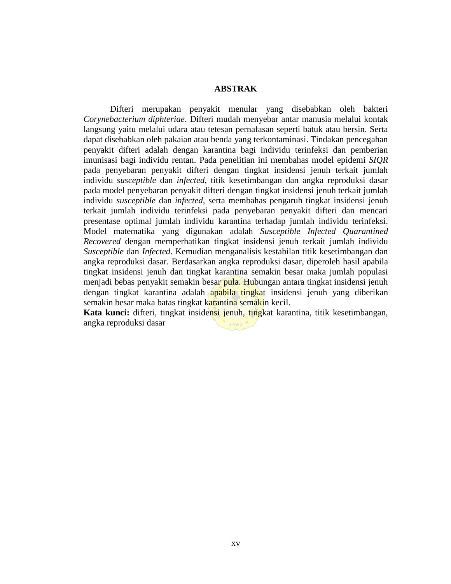## **ABSTRAK**

Difteri merupakan penyakit menular yang disebabkan oleh bakteri *Corynebacterium diphteriae*. Difteri mudah menyebar antar manusia melalui kontak langsung yaitu melalui udara atau tetesan pernafasan seperti batuk atau bersin. Serta dapat disebabkan oleh pakaian atau benda yang terkontaminasi. Tindakan pencegahan penyakit difteri adalah dengan karantina bagi individu terinfeksi dan pemberian imunisasi bagi individu rentan. Pada penelitian ini membahas model epidemi *SIQR* pada penyebaran penyakit difteri dengan tingkat insidensi jenuh terkait jumlah individu *susceptible* dan *infected*, titik kesetimbangan dan angka reproduksi dasar pada model penyebaran penyakit difteri dengan tingkat insidensi jenuh terkait jumlah individu *susceptible* dan *infected*, serta membahas pengaruh tingkat insidensi jenuh terkait jumlah individu terinfeksi pada penyebaran penyakit difteri dan mencari presentase optimal jumlah individu karantina terhadap jumlah individu terinfeksi. Model matematika yang digunakan adalah *Susceptible Infected Quarantined Recovered* dengan memperhatikan tingkat insidensi jenuh terkait jumlah individu *Susceptible* dan *Infected*. Kemudian menganalisis kestabilan titik kesetimbangan dan angka reproduksi dasar. Berdasarkan angka reproduksi dasar, diperoleh hasil apabila tingkat insidensi jenuh dan tingkat karantina semakin besar maka jumlah populasi menjadi bebas penyakit semakin besar pula. Hubungan antara tingkat insidensi jenuh dengan tingkat karantina adalah apabila tingkat insidensi jenuh yang diberikan semakin besar maka batas tingkat karantina semakin kecil.

**Kata kunci:** difteri, tingkat insidensi jenuh, tingkat karantina, titik kesetimbangan, angka reproduksi dasar $1963*$